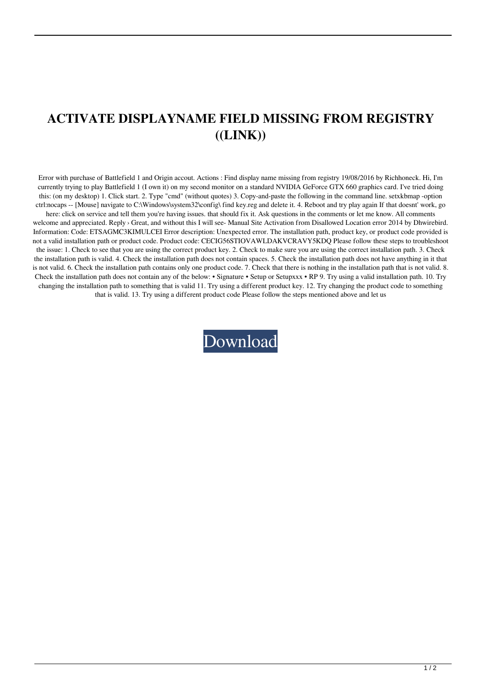## **ACTIVATE DISPLAYNAME FIELD MISSING FROM REGISTRY ((LINK))**

Error with purchase of Battlefield 1 and Origin accout. Actions : Find display name missing from registry 19/08/2016 by Richhoneck. Hi, I'm currently trying to play Battlefield 1 (I own it) on my second monitor on a standard NVIDIA GeForce GTX 660 graphics card. I've tried doing this: (on my desktop) 1. Click start. 2. Type "cmd" (without quotes) 3. Copy-and-paste the following in the command line. setxkbmap -option ctrl:nocaps -- [Mouse] navigate to C:\Windows\system32\config\ find key.reg and delete it. 4. Reboot and try play again If that doesnt' work, go

here: click on service and tell them you're having issues. that should fix it. Ask questions in the comments or let me know. All comments welcome and appreciated. Reply > Great, and without this I will see- Manual Site Activation from Disallowed Location error 2014 by Dhwirebird. Information: Code: ETSAGMC3KIMULCEI Error description: Unexpected error. The installation path, product key, or product code provided is not a valid installation path or product code. Product code: CECIG56STIOVAWLDAKVCRAVY5KDQ Please follow these steps to troubleshoot the issue: 1. Check to see that you are using the correct product key. 2. Check to make sure you are using the correct installation path. 3. Check the installation path is valid. 4. Check the installation path does not contain spaces. 5. Check the installation path does not have anything in it that is not valid. 6. Check the installation path contains only one product code. 7. Check that there is nothing in the installation path that is not valid. 8. Check the installation path does not contain any of the below: • Signature • Setup or Setupxxx • RP 9. Try using a valid installation path. 10. Try changing the installation path to something that is valid 11. Try using a different product key. 12. Try changing the product code to something that is valid. 13. Try using a different product code Please follow the steps mentioned above and let us